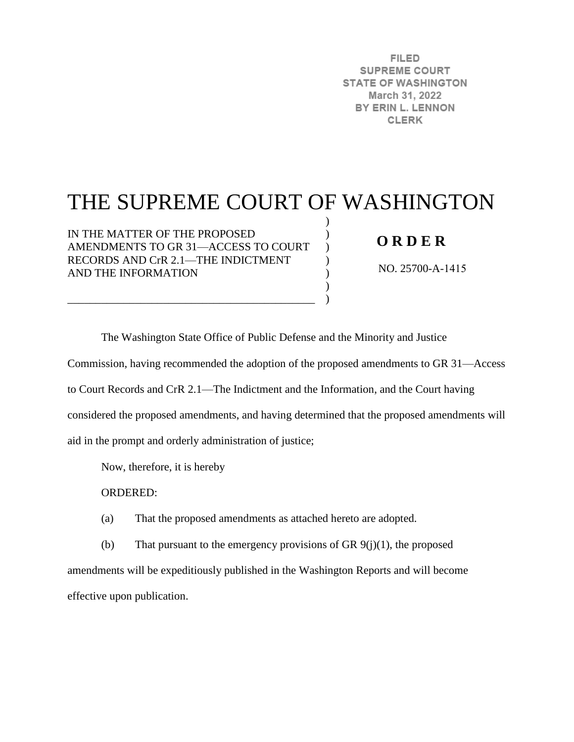**FILED SUPREME COURT STATE OF WASHINGTON** March 31, 2022 BY ERIN L. LENNON **CLERK** 

# THE SUPREME COURT OF WASHINGTON

) ) )  $\mathcal{L}$ ) )  $\lambda$ 

IN THE MATTER OF THE PROPOSED AMENDMENTS TO GR 31—ACCESS TO COURT RECORDS AND CrR 2.1—THE INDICTMENT AND THE INFORMATION

\_\_\_\_\_\_\_\_\_\_\_\_\_\_\_\_\_\_\_\_\_\_\_\_\_\_\_\_\_\_\_\_\_\_\_\_\_\_\_\_\_\_\_\_

## **O R D E R**

NO. 25700-A-1415

The Washington State Office of Public Defense and the Minority and Justice

Commission, having recommended the adoption of the proposed amendments to GR 31—Access

to Court Records and CrR 2.1—The Indictment and the Information, and the Court having

considered the proposed amendments, and having determined that the proposed amendments will

aid in the prompt and orderly administration of justice;

Now, therefore, it is hereby

ORDERED:

(a) That the proposed amendments as attached hereto are adopted.

(b) That pursuant to the emergency provisions of GR  $9(j)(1)$ , the proposed amendments will be expeditiously published in the Washington Reports and will become effective upon publication.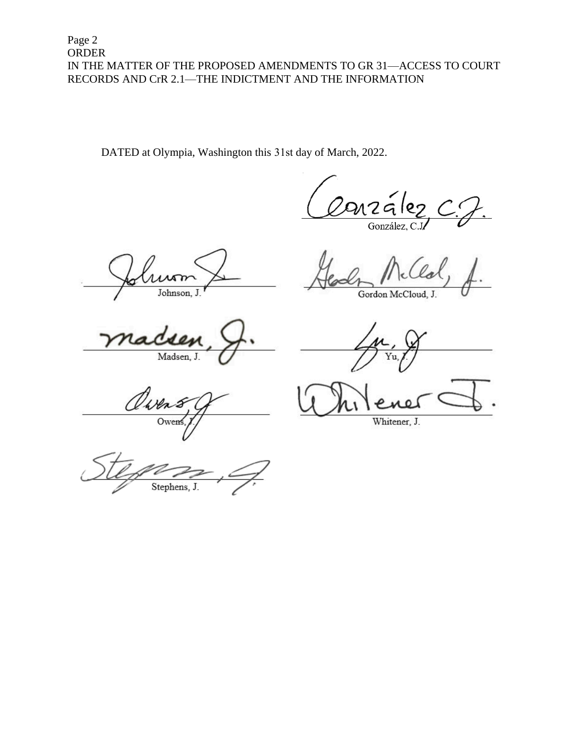DATED at Olympia, Washington this 31st day of March, 2022.

nzález

r Johnson, J.

Gordon McCloud, J.

Madsen, J.

Yu.

awe Owen

Whitener, J.

Stephens,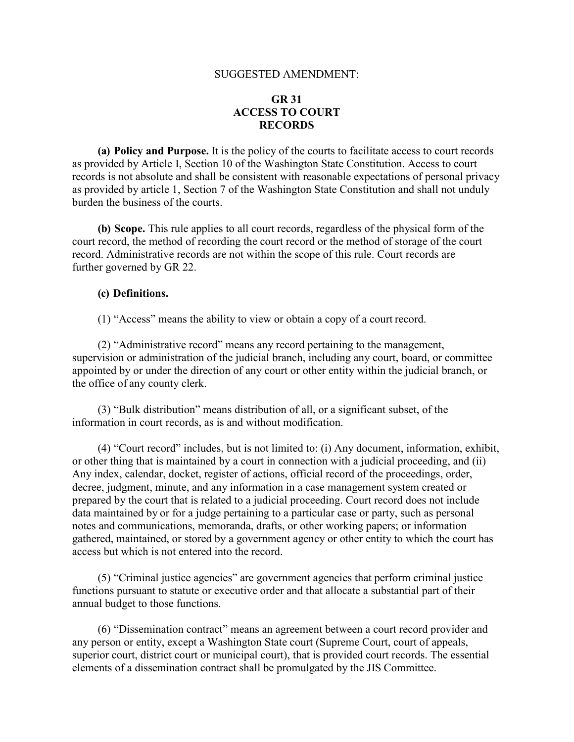#### SUGGESTED AMENDMENT:

#### **GR 31 ACCESS TO COURT RECORDS**

**(a) Policy and Purpose.** It is the policy of the courts to facilitate access to court records as provided by Article I, Section 10 of the Washington State Constitution. Access to court records is not absolute and shall be consistent with reasonable expectations of personal privacy as provided by article 1, Section 7 of the Washington State Constitution and shall not unduly burden the business of the courts.

**(b) Scope.** This rule applies to all court records, regardless of the physical form of the court record, the method of recording the court record or the method of storage of the court record. Administrative records are not within the scope of this rule. Court records are further governed by GR 22.

#### **(c) Definitions.**

(1) "Access" means the ability to view or obtain a copy of a court record.

(2) "Administrative record" means any record pertaining to the management, supervision or administration of the judicial branch, including any court, board, or committee appointed by or under the direction of any court or other entity within the judicial branch, or the office of any county clerk.

(3) "Bulk distribution" means distribution of all, or a significant subset, of the information in court records, as is and without modification.

(4) "Court record" includes, but is not limited to: (i) Any document, information, exhibit, or other thing that is maintained by a court in connection with a judicial proceeding, and (ii) Any index, calendar, docket, register of actions, official record of the proceedings, order, decree, judgment, minute, and any information in a case management system created or prepared by the court that is related to a judicial proceeding. Court record does not include data maintained by or for a judge pertaining to a particular case or party, such as personal notes and communications, memoranda, drafts, or other working papers; or information gathered, maintained, or stored by a government agency or other entity to which the court has access but which is not entered into the record.

(5) "Criminal justice agencies" are government agencies that perform criminal justice functions pursuant to statute or executive order and that allocate a substantial part of their annual budget to those functions.

(6) "Dissemination contract" means an agreement between a court record provider and any person or entity, except a Washington State court (Supreme Court, court of appeals, superior court, district court or municipal court), that is provided court records. The essential elements of a dissemination contract shall be promulgated by the JIS Committee.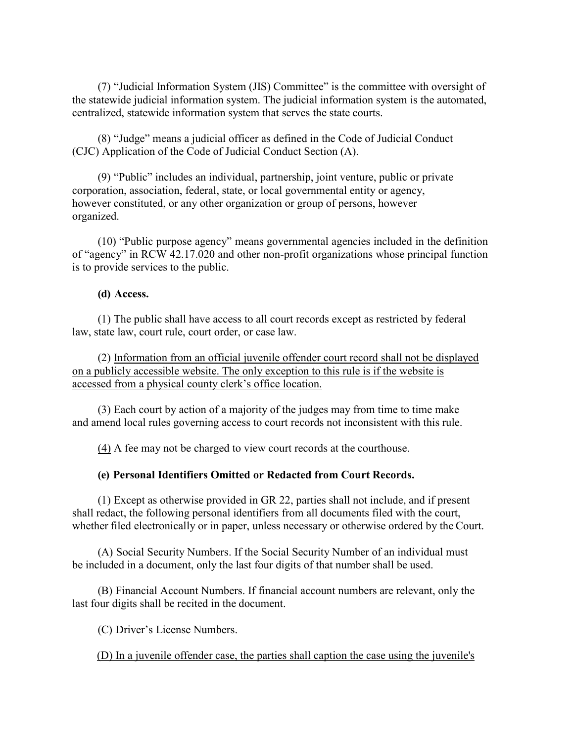(7) "Judicial Information System (JIS) Committee" is the committee with oversight of the statewide judicial information system. The judicial information system is the automated, centralized, statewide information system that serves the state courts.

(8) "Judge" means a judicial officer as defined in the Code of Judicial Conduct (CJC) Application of the Code of Judicial Conduct Section (A).

(9) "Public" includes an individual, partnership, joint venture, public or private corporation, association, federal, state, or local governmental entity or agency, however constituted, or any other organization or group of persons, however organized.

(10) "Public purpose agency" means governmental agencies included in the definition of "agency" in RCW 42.17.020 and other non-profit organizations whose principal function is to provide services to the public.

#### **(d) Access.**

(1) The public shall have access to all court records except as restricted by federal law, state law, court rule, court order, or case law.

(2) Information from an official juvenile offender court record shall not be displayed on a publicly accessible website. The only exception to this rule is if the website is accessed from a physical county clerk's office location.

(3) Each court by action of a majority of the judges may from time to time make and amend local rules governing access to court records not inconsistent with this rule.

(4) A fee may not be charged to view court records at the courthouse.

#### **(e) Personal Identifiers Omitted or Redacted from Court Records.**

(1) Except as otherwise provided in GR 22, parties shall not include, and if present shall redact, the following personal identifiers from all documents filed with the court, whether filed electronically or in paper, unless necessary or otherwise ordered by the Court.

(A) Social Security Numbers. If the Social Security Number of an individual must be included in a document, only the last four digits of that number shall be used.

(B) Financial Account Numbers. If financial account numbers are relevant, only the last four digits shall be recited in the document.

(C) Driver's License Numbers.

(D) In a juvenile offender case, the parties shall caption the case using the juvenile's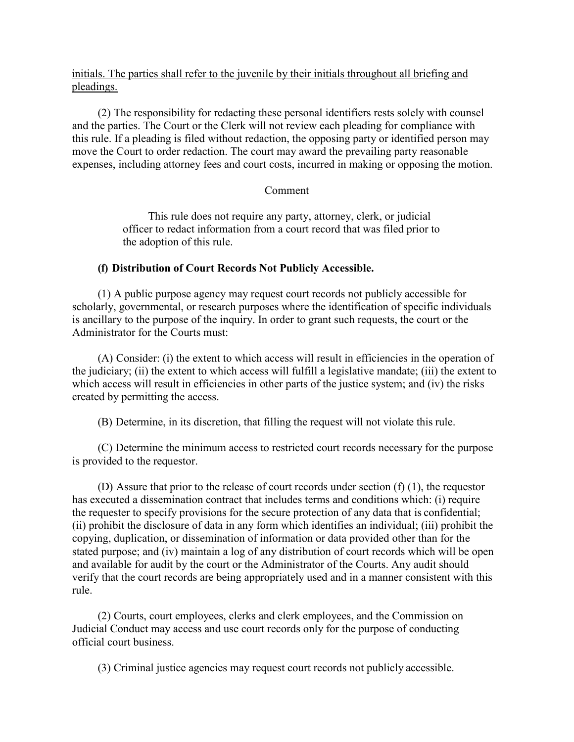initials. The parties shall refer to the juvenile by their initials throughout all briefing and pleadings.

(2) The responsibility for redacting these personal identifiers rests solely with counsel and the parties. The Court or the Clerk will not review each pleading for compliance with this rule. If a pleading is filed without redaction, the opposing party or identified person may move the Court to order redaction. The court may award the prevailing party reasonable expenses, including attorney fees and court costs, incurred in making or opposing the motion.

#### Comment

This rule does not require any party, attorney, clerk, or judicial officer to redact information from a court record that was filed prior to the adoption of this rule.

#### **(f) Distribution of Court Records Not Publicly Accessible.**

(1) A public purpose agency may request court records not publicly accessible for scholarly, governmental, or research purposes where the identification of specific individuals is ancillary to the purpose of the inquiry. In order to grant such requests, the court or the Administrator for the Courts must:

(A) Consider: (i) the extent to which access will result in efficiencies in the operation of the judiciary; (ii) the extent to which access will fulfill a legislative mandate; (iii) the extent to which access will result in efficiencies in other parts of the justice system; and (iv) the risks created by permitting the access.

(B) Determine, in its discretion, that filling the request will not violate this rule.

(C) Determine the minimum access to restricted court records necessary for the purpose is provided to the requestor.

(D) Assure that prior to the release of court records under section (f) (1), the requestor has executed a dissemination contract that includes terms and conditions which: (i) require the requester to specify provisions for the secure protection of any data that is confidential; (ii) prohibit the disclosure of data in any form which identifies an individual; (iii) prohibit the copying, duplication, or dissemination of information or data provided other than for the stated purpose; and (iv) maintain a log of any distribution of court records which will be open and available for audit by the court or the Administrator of the Courts. Any audit should verify that the court records are being appropriately used and in a manner consistent with this rule.

(2) Courts, court employees, clerks and clerk employees, and the Commission on Judicial Conduct may access and use court records only for the purpose of conducting official court business.

(3) Criminal justice agencies may request court records not publicly accessible.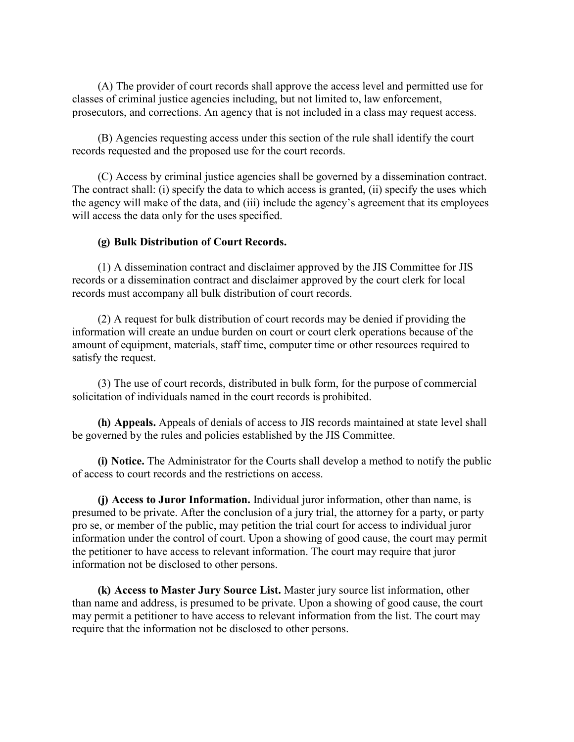(A) The provider of court records shall approve the access level and permitted use for classes of criminal justice agencies including, but not limited to, law enforcement, prosecutors, and corrections. An agency that is not included in a class may request access.

(B) Agencies requesting access under this section of the rule shall identify the court records requested and the proposed use for the court records.

(C) Access by criminal justice agencies shall be governed by a dissemination contract. The contract shall: (i) specify the data to which access is granted, (ii) specify the uses which the agency will make of the data, and (iii) include the agency's agreement that its employees will access the data only for the uses specified.

#### **(g) Bulk Distribution of Court Records.**

(1) A dissemination contract and disclaimer approved by the JIS Committee for JIS records or a dissemination contract and disclaimer approved by the court clerk for local records must accompany all bulk distribution of court records.

(2) A request for bulk distribution of court records may be denied if providing the information will create an undue burden on court or court clerk operations because of the amount of equipment, materials, staff time, computer time or other resources required to satisfy the request.

(3) The use of court records, distributed in bulk form, for the purpose of commercial solicitation of individuals named in the court records is prohibited.

**(h) Appeals.** Appeals of denials of access to JIS records maintained at state level shall be governed by the rules and policies established by the JIS Committee.

**(i) Notice.** The Administrator for the Courts shall develop a method to notify the public of access to court records and the restrictions on access.

**(j) Access to Juror Information.** Individual juror information, other than name, is presumed to be private. After the conclusion of a jury trial, the attorney for a party, or party pro se, or member of the public, may petition the trial court for access to individual juror information under the control of court. Upon a showing of good cause, the court may permit the petitioner to have access to relevant information. The court may require that juror information not be disclosed to other persons.

**(k) Access to Master Jury Source List.** Master jury source list information, other than name and address, is presumed to be private. Upon a showing of good cause, the court may permit a petitioner to have access to relevant information from the list. The court may require that the information not be disclosed to other persons.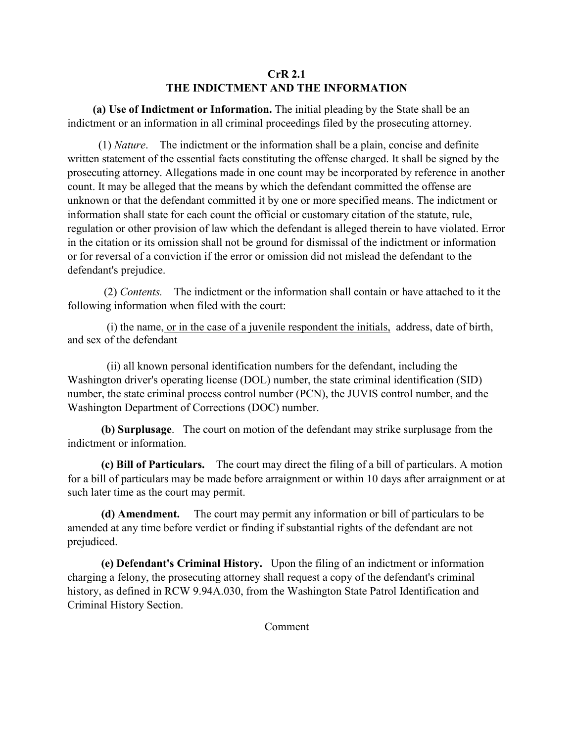### **CrR 2.1 THE INDICTMENT AND THE INFORMATION**

 **(a) Use of Indictment or Information.** The initial pleading by the State shall be an indictment or an information in all criminal proceedings filed by the prosecuting attorney.

 (1) *Nature*. The indictment or the information shall be a plain, concise and definite written statement of the essential facts constituting the offense charged. It shall be signed by the prosecuting attorney. Allegations made in one count may be incorporated by reference in another count. It may be alleged that the means by which the defendant committed the offense are unknown or that the defendant committed it by one or more specified means. The indictment or information shall state for each count the official or customary citation of the statute, rule, regulation or other provision of law which the defendant is alleged therein to have violated. Error in the citation or its omission shall not be ground for dismissal of the indictment or information or for reversal of a conviction if the error or omission did not mislead the defendant to the defendant's prejudice.

 (2) *Contents.* The indictment or the information shall contain or have attached to it the following information when filed with the court:

 (i) the name, or in the case of a juvenile respondent the initials, address, date of birth, and sex of the defendant

 (ii) all known personal identification numbers for the defendant, including the Washington driver's operating license (DOL) number, the state criminal identification (SID) number, the state criminal process control number (PCN), the JUVIS control number, and the Washington Department of Corrections (DOC) number.

**(b) Surplusage**. The court on motion of the defendant may strike surplusage from the indictment or information.

**(c) Bill of Particulars.** The court may direct the filing of a bill of particulars. A motion for a bill of particulars may be made before arraignment or within 10 days after arraignment or at such later time as the court may permit.

**(d) Amendment.** The court may permit any information or bill of particulars to be amended at any time before verdict or finding if substantial rights of the defendant are not prejudiced.

**(e) Defendant's Criminal History.** Upon the filing of an indictment or information charging a felony, the prosecuting attorney shall request a copy of the defendant's criminal history, as defined in RCW 9.94A.030, from the Washington State Patrol Identification and Criminal History Section.

Comment